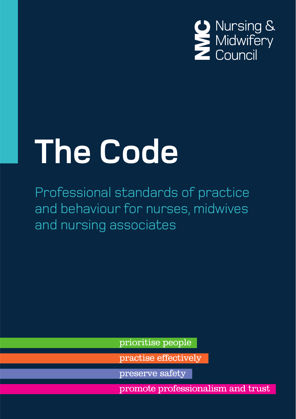

# **The Code**

Professional standards of practice and behaviour for nurses, midwives and nursing associates

prioritise people

practise effectively

preserve safety

promote professionalism and trust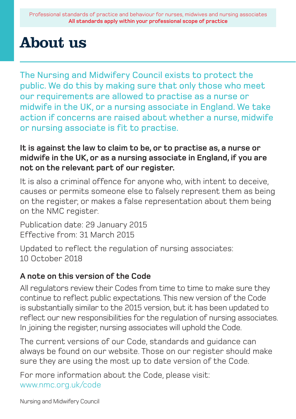### About us

The Nursing and Midwifery Council exists to protect the public. We do this by making sure that only those who meet our requirements are allowed to practise as a nurse or midwife in the UK, or a nursing associate in England. We take action if concerns are raised about whether a nurse, midwife or nursing associate is fit to practise.

**It is against the law to claim to be, or to practise as, a nurse or midwife in the UK, or as a nursing associate in England, if you are not on the relevant part of our register.**

It is also a criminal offence for anyone who, with intent to deceive, causes or permits someone else to falsely represent them as being on the register, or makes a false representation about them being on the NMC register.

Publication date: 29 January 2015 Effective from: 31 March 2015

Updated to reflect the regulation of nursing associates: 10 October 2018

### **A note on this version of the Code**

All regulators review their Codes from time to time to make sure they continue to reflect public expectations. This new version of the Code is substantially similar to the 2015 version, but it has been updated to reflect our new responsibilities for the regulation of nursing associates. In joining the register, nursing associates will uphold the Code.

The current versions of our Code, standards and guidance can always be found on our website. Those on our register should make sure they are using the most up to date version of the Code.

For more information about the Code, please visit: www.nmc.org.uk/code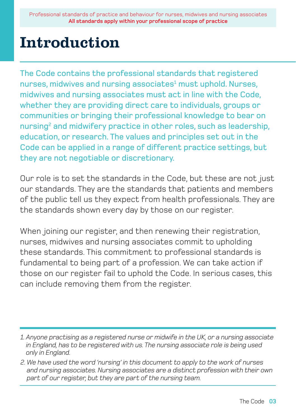### Introduction

The Code contains the professional standards that registered nurses, midwives and nursing associates<sup>1</sup> must uphold. Nurses, midwives and nursing associates must act in line with the Code, whether they are providing direct care to individuals, groups or communities or bringing their professional knowledge to bear on nursing $^{\mathsf{2}}$  and midwifery practice in other roles, such as leadership, education, or research. The values and principles set out in the Code can be applied in a range of different practice settings, but they are not negotiable or discretionary.

Our role is to set the standards in the Code, but these are not just our standards. They are the standards that patients and members of the public tell us they expect from health professionals. They are the standards shown every day by those on our register.

When joining our register, and then renewing their registration, nurses, midwives and nursing associates commit to upholding these standards. This commitment to professional standards is fundamental to being part of a profession. We can take action if those on our register fail to uphold the Code. In serious cases, this can include removing them from the register.

*<sup>1.</sup> Anyone practising as a registered nurse or midwife in the UK, or a nursing associate in England, has to be registered with us. The nursing associate role is being used only in England.*

*<sup>2.</sup> We have used the word 'nursing' in this document to apply to the work of nurses and nursing associates. Nursing associates are a distinct profession with their own part of our register, but they are part of the nursing team.*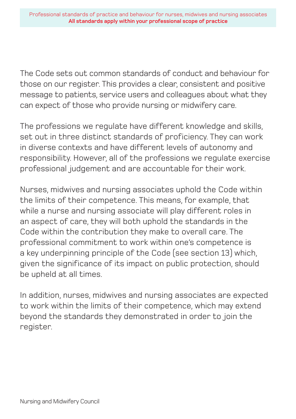The Code sets out common standards of conduct and behaviour for those on our register. This provides a clear, consistent and positive message to patients, service users and colleagues about what they can expect of those who provide nursing or midwifery care.

The professions we regulate have different knowledge and skills, set out in three distinct standards of proficiency. They can work in diverse contexts and have different levels of autonomy and responsibility. However, all of the professions we regulate exercise professional judgement and are accountable for their work.

Nurses, midwives and nursing associates uphold the Code within the limits of their competence. This means, for example, that while a nurse and nursing associate will play different roles in an aspect of care, they will both uphold the standards in the Code within the contribution they make to overall care. The professional commitment to work within one's competence is a key underpinning principle of the Code (see section 13) which, given the significance of its impact on public protection, should be upheld at all times.

In addition, nurses, midwives and nursing associates are expected to work within the limits of their competence, which may extend beyond the standards they demonstrated in order to join the register.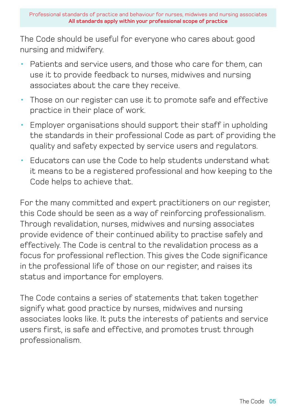The Code should be useful for everyone who cares about good nursing and midwifery.

- Patients and service users, and those who care for them, can use it to provide feedback to nurses, midwives and nursing associates about the care they receive.
- Those on our register can use it to promote safe and effective practice in their place of work.
- Employer organisations should support their staff in upholding the standards in their professional Code as part of providing the quality and safety expected by service users and regulators.
- Educators can use the Code to help students understand what it means to be a registered professional and how keeping to the Code helps to achieve that.

For the many committed and expert practitioners on our register, this Code should be seen as a way of reinforcing professionalism. Through revalidation, nurses, midwives and nursing associates provide evidence of their continued ability to practise safely and effectively. The Code is central to the revalidation process as a focus for professional reflection. This gives the Code significance in the professional life of those on our register, and raises its status and importance for employers.

The Code contains a series of statements that taken together signify what good practice by nurses, midwives and nursing associates looks like. It puts the interests of patients and service users first, is safe and effective, and promotes trust through professionalism.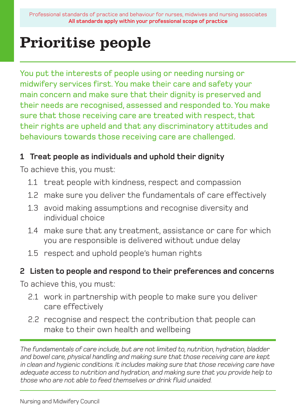# Prioritise people

You put the interests of people using or needing nursing or midwifery services first. You make their care and safety your main concern and make sure that their dignity is preserved and their needs are recognised, assessed and responded to. You make sure that those receiving care are treated with respect, that their rights are upheld and that any discriminatory attitudes and behaviours towards those receiving care are challenged.

### **1 Treat people as individuals and uphold their dignity**

To achieve this, you must:

- 1.1 treat people with kindness, respect and compassion
- 1.2 make sure you deliver the fundamentals of care effectively
- 1.3 avoid making assumptions and recognise diversity and individual choice
- 1.4 make sure that any treatment, assistance or care for which you are responsible is delivered without undue delay
- 1.5 respect and uphold people's human rights

### **2 Listen to people and respond to their preferences and concerns**

To achieve this, you must:

- 2.1 work in partnership with people to make sure you deliver care effectively
- 2.2 recognise and respect the contribution that people can make to their own health and wellbeing

*The fundamentals of care include, but are not limited to, nutrition, hydration, bladder and bowel care, physical handling and making sure that those receiving care are kept in clean and hygienic conditions. It includes making sure that those receiving care have adequate access to nutrition and hydration, and making sure that you provide help to those who are not able to feed themselves or drink fluid unaided.*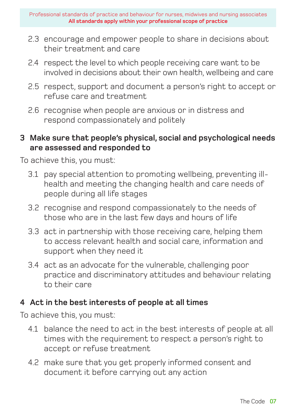- 2.3 encourage and empower people to share in decisions about their treatment and care
- 2.4 respect the level to which people receiving care want to be involved in decisions about their own health, wellbeing and care
- 2.5 respect, support and document a person's right to accept or refuse care and treatment
- 2.6 recognise when people are anxious or in distress and respond compassionately and politely

### **3 Make sure that people's physical, social and psychological needs are assessed and responded to**

To achieve this, you must:

- 3.1 pay special attention to promoting wellbeing, preventing illhealth and meeting the changing health and care needs of people during all life stages
- 3.2 recognise and respond compassionately to the needs of those who are in the last few days and hours of life
- 3.3 act in partnership with those receiving care, helping them to access relevant health and social care, information and support when they need it
- 3.4 act as an advocate for the vulnerable, challenging poor practice and discriminatory attitudes and behaviour relating to their care

### **4 Act in the best interests of people at all times**

- 4.1 balance the need to act in the best interests of people at all times with the requirement to respect a person's right to accept or refuse treatment
- 4.2 make sure that you get properly informed consent and document it before carrying out any action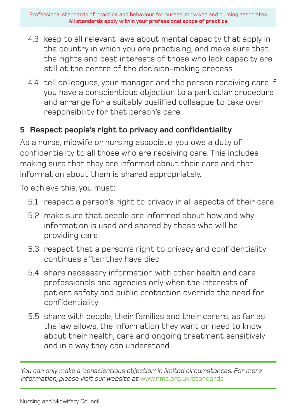- 4.3 keep to all relevant laws about mental capacity that apply in the country in which you are practising, and make sure that the rights and best interests of those who lack capacity are still at the centre of the decision-making process
- 4.4 tell colleagues, your manager and the person receiving care if you have a conscientious objection to a particular procedure and arrange for a suitably qualified colleague to take over responsibility for that person's care

### **5 Respect people's right to privacy and confidentiality**

As a nurse, midwife or nursing associate, you owe a duty of confidentiality to all those who are receiving care. This includes making sure that they are informed about their care and that information about them is shared appropriately.

To achieve this, you must:

- 5.1 respect a person's right to privacy in all aspects of their care
- 5.2 make sure that people are informed about how and why information is used and shared by those who will be providing care
- 5.3 respect that a person's right to privacy and confidentiality continues after they have died
- 5.4 share necessary information with other health and care professionals and agencies only when the interests of patient safety and public protection override the need for confidentiality
- 5.5 share with people, their families and their carers, as far as the law allows, the information they want or need to know about their health, care and ongoing treatment sensitively and in a way they can understand

*You can only make a 'conscientious objection' in limited circumstances. For more information, please visit our website at* www.nmc.org.uk/standards*.*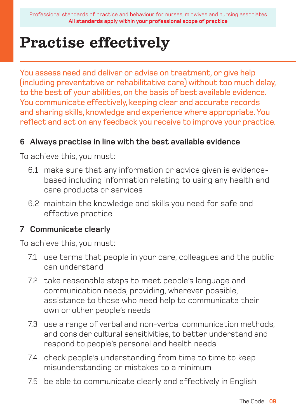### Practise effectively

You assess need and deliver or advise on treatment, or give help (including preventative or rehabilitative care) without too much delay, to the best of your abilities, on the basis of best available evidence. You communicate effectively, keeping clear and accurate records and sharing skills, knowledge and experience where appropriate. You reflect and act on any feedback you receive to improve your practice.

### **6 Always practise in line with the best available evidence**

To achieve this, you must:

- 6.1 make sure that any information or advice given is evidencebased including information relating to using any health and care products or services
- 6.2 maintain the knowledge and skills you need for safe and effective practice

### **7 Communicate clearly**

- 7.1 use terms that people in your care, colleagues and the public can understand
- 7.2 take reasonable steps to meet people's language and communication needs, providing, wherever possible, assistance to those who need help to communicate their own or other people's needs
- 7.3 use a range of verbal and non-verbal communication methods, and consider cultural sensitivities, to better understand and respond to people's personal and health needs
- 7.4 check people's understanding from time to time to keep misunderstanding or mistakes to a minimum
- 7.5 be able to communicate clearly and effectively in English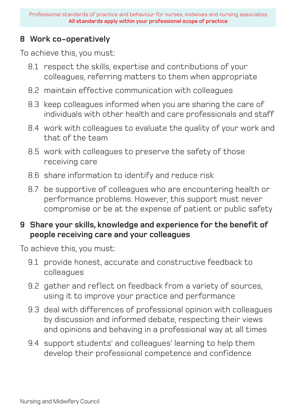### **8 Work co-operatively**

To achieve this, you must:

- 8.1 respect the skills, expertise and contributions of your colleagues, referring matters to them when appropriate
- 8.2 maintain effective communication with colleagues
- 8.3 keep colleagues informed when you are sharing the care of individuals with other health and care professionals and staff
- 8.4 work with colleagues to evaluate the quality of your work and that of the team
- 8.5 work with colleagues to preserve the safety of those receiving care
- 8.6 share information to identify and reduce risk
- 8.7 be supportive of colleagues who are encountering health or performance problems. However, this support must never compromise or be at the expense of patient or public safety

### **9 Share your skills, knowledge and experience for the benefit of people receiving care and your colleagues**

- 9.1 provide honest, accurate and constructive feedback to colleagues
- 9.2 gather and reflect on feedback from a variety of sources, using it to improve your practice and performance
- 9.3 deal with differences of professional opinion with colleagues by discussion and informed debate, respecting their views and opinions and behaving in a professional way at all times
- 9.4 support students' and colleagues' learning to help them develop their professional competence and confidence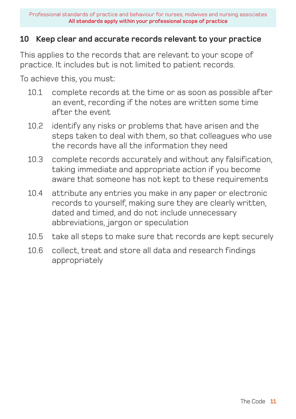### **10 Keep clear and accurate records relevant to your practice**

This applies to the records that are relevant to your scope of practice. It includes but is not limited to patient records.

- 10.1 complete records at the time or as soon as possible after an event, recording if the notes are written some time after the event
- 10.2 identify any risks or problems that have arisen and the steps taken to deal with them, so that colleagues who use the records have all the information they need
- 10.3 complete records accurately and without any falsification, taking immediate and appropriate action if you become aware that someone has not kept to these requirements
- 10.4 attribute any entries you make in any paper or electronic records to yourself, making sure they are clearly written, dated and timed, and do not include unnecessary abbreviations, jargon or speculation
- 10.5 take all steps to make sure that records are kept securely
- 10.6 collect, treat and store all data and research findings appropriately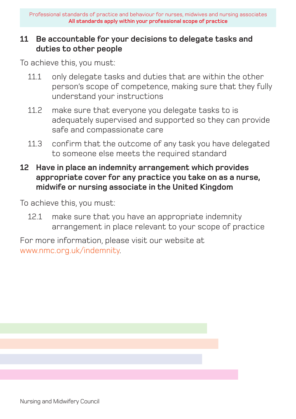### **11 Be accountable for your decisions to delegate tasks and duties to other people**

To achieve this, you must:

- 11.1 only delegate tasks and duties that are within the other person's scope of competence, making sure that they fully understand your instructions
- 11.2 make sure that everyone you delegate tasks to is adequately supervised and supported so they can provide safe and compassionate care
- 11.3 confirm that the outcome of any task you have delegated to someone else meets the required standard
- **12 Have in place an indemnity arrangement which provides appropriate cover for any practice you take on as a nurse, midwife or nursing associate in the United Kingdom**

To achieve this, you must:

12.1 make sure that you have an appropriate indemnity arrangement in place relevant to your scope of practice

For more information, please visit our website at www.nmc.org.uk/indemnity.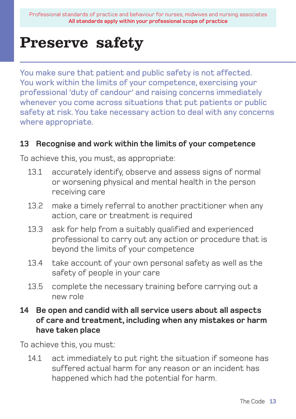### Preserve safety

You make sure that patient and public safety is not affected. You work within the limits of your competence, exercising your professional 'duty of candour' and raising concerns immediately whenever you come across situations that put patients or public safety at risk. You take necessary action to deal with any concerns where appropriate.

#### **13 Recognise and work within the limits of your competence**

To achieve this, you must, as appropriate:

- 13.1 accurately identify, observe and assess signs of normal or worsening physical and mental health in the person receiving care
- 13.2 make a timely referral to another practitioner when any action, care or treatment is required
- 13.3 ask for help from a suitably qualified and experienced professional to carry out any action or procedure that is beyond the limits of your competence
- 13.4 take account of your own personal safety as well as the safety of people in your care
- 13.5 complete the necessary training before carrying out a new role
- **14 Be open and candid with all service users about all aspects of care and treatment, including when any mistakes or harm have taken place**

To achieve this, you must:

14.1 act immediately to put right the situation if someone has suffered actual harm for any reason or an incident has happened which had the potential for harm.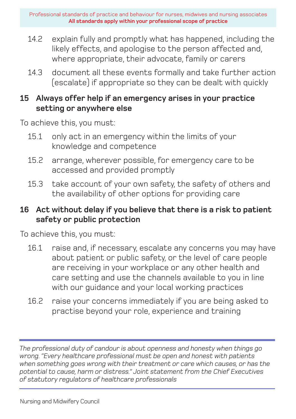- 14.2 explain fully and promptly what has happened, including the likely effects, and apologise to the person affected and, where appropriate, their advocate, family or carers
- 14.3 document all these events formally and take further action (escalate) if appropriate so they can be dealt with quickly

### **15 Always offer help if an emergency arises in your practice setting or anywhere else**

To achieve this, you must:

- 15.1 only act in an emergency within the limits of your knowledge and competence
- 15.2 arrange, wherever possible, for emergency care to be accessed and provided promptly
- 15.3 take account of your own safety, the safety of others and the availability of other options for providing care

### **16 Act without delay if you believe that there is a risk to patient safety or public protection**

To achieve this, you must:

- 16.1 raise and, if necessary, escalate any concerns you may have about patient or public safety, or the level of care people are receiving in your workplace or any other health and care setting and use the channels available to you in line with our guidance and your local working practices
- 16.2 raise your concerns immediately if you are being asked to practise beyond your role, experience and training

*The professional duty of candour is about openness and honesty when things go wrong. "Every healthcare professional must be open and honest with patients when something goes wrong with their treatment or care which causes, or has the potential to cause, harm or distress." Joint statement from the Chief Executives of statutory regulators of healthcare professionals*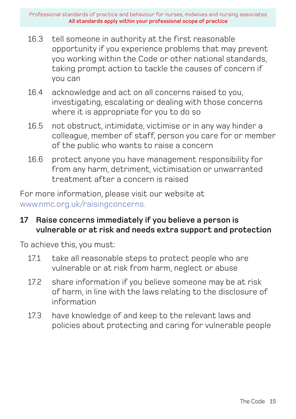- 16.3 tell someone in authority at the first reasonable opportunity if you experience problems that may prevent you working within the Code or other national standards, taking prompt action to tackle the causes of concern if you can
- 16.4 acknowledge and act on all concerns raised to you, investigating, escalating or dealing with those concerns where it is appropriate for you to do so
- 16.5 not obstruct, intimidate, victimise or in any way hinder a colleague, member of staff, person you care for or member of the public who wants to raise a concern
- 16.6 protect anyone you have management responsibility for from any harm, detriment, victimisation or unwarranted treatment after a concern is raised

For more information, please visit our website at www.nmc.org.uk/raisingconcerns.

### **17 Raise concerns immediately if you believe a person is vulnerable or at risk and needs extra support and protection**

- 17.1 take all reasonable steps to protect people who are vulnerable or at risk from harm, neglect or abuse
- 17.2 share information if you believe someone may be at risk of harm, in line with the laws relating to the disclosure of information
- 17.3 have knowledge of and keep to the relevant laws and policies about protecting and caring for vulnerable people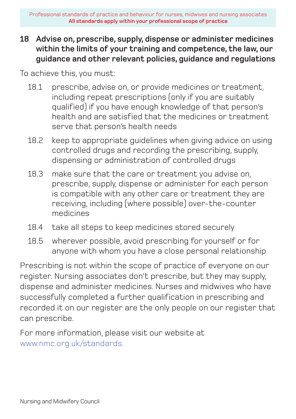### **18 Advise on, prescribe, supply, dispense or administer medicines within the limits of your training and competence, the law, our guidance and other relevant policies, guidance and regulations**

To achieve this, you must:

- 18.1 prescribe, advise on, or provide medicines or treatment, including repeat prescriptions (only if you are suitably qualified) if you have enough knowledge of that person's health and are satisfied that the medicines or treatment serve that person's health needs
- 18.2 keep to appropriate guidelines when giving advice on using controlled drugs and recording the prescribing, supply, dispensing or administration of controlled drugs
- 18.3 make sure that the care or treatment you advise on, prescribe, supply, dispense or administer for each person is compatible with any other care or treatment they are receiving, including (where possible) over-the-counter medicines
- 18.4 take all steps to keep medicines stored securely
- 18.5 wherever possible, avoid prescribing for yourself or for anyone with whom you have a close personal relationship

Prescribing is not within the scope of practice of everyone on our register. Nursing associates don't prescribe, but they may supply, dispense and administer medicines. Nurses and midwives who have successfully completed a further qualification in prescribing and recorded it on our register are the only people on our register that can prescribe.

For more information, please visit our website at www.nmc.org.uk/standards.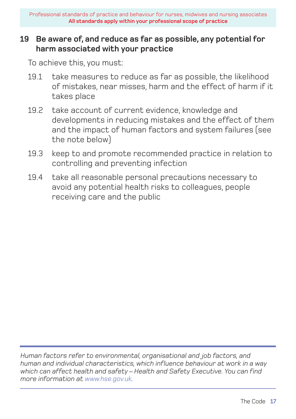### **19 Be aware of, and reduce as far as possible, any potential for harm associated with your practice**

To achieve this, you must:

- 19.1 take measures to reduce as far as possible, the likelihood of mistakes, near misses, harm and the effect of harm if it takes place
- 19.2 take account of current evidence, knowledge and developments in reducing mistakes and the effect of them and the impact of human factors and system failures (see the note below)
- 19.3 keep to and promote recommended practice in relation to controlling and preventing infection
- 19.4 take all reasonable personal precautions necessary to avoid any potential health risks to colleagues, people receiving care and the public

*Human factors refer to environmental, organisational and job factors, and human and individual characteristics, which influence behaviour at work in a way which can affect health and safety – Health and Safety Executive. You can find more information at www.hse.gov.uk.*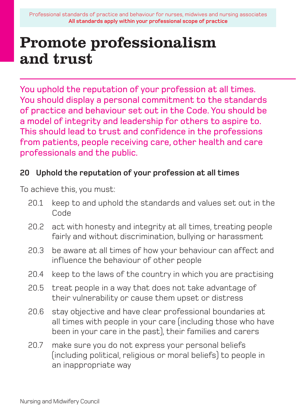## Promote professionalism and trust

You uphold the reputation of your profession at all times. You should display a personal commitment to the standards of practice and behaviour set out in the Code. You should be a model of integrity and leadership for others to aspire to. This should lead to trust and confidence in the professions from patients, people receiving care, other health and care professionals and the public.

### **20 Uphold the reputation of your profession at all times**

- 20.1 keep to and uphold the standards and values set out in the Code
- 20.2 act with honesty and integrity at all times, treating people fairly and without discrimination, bullying or harassment
- 20.3 be aware at all times of how your behaviour can affect and influence the behaviour of other people
- 20.4 keep to the laws of the country in which you are practising
- 20.5 treat people in a way that does not take advantage of their vulnerability or cause them upset or distress
- 20.6 stay objective and have clear professional boundaries at all times with people in your care (including those who have been in your care in the past), their families and carers
- 20.7 make sure you do not express your personal beliefs (including political, religious or moral beliefs) to people in an inappropriate way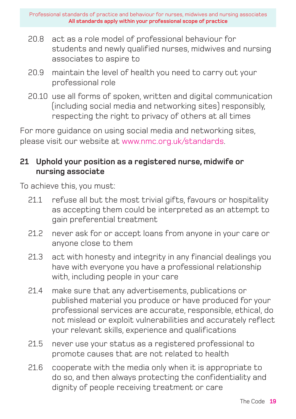- 20.8 act as a role model of professional behaviour for students and newly qualified nurses, midwives and nursing associates to aspire to
- 20.9 maintain the level of health you need to carry out your professional role
- 20.10 use all forms of spoken, written and digital communication (including social media and networking sites) responsibly, respecting the right to privacy of others at all times

For more guidance on using social media and networking sites, please visit our website at www.nmc.org.uk/standards.

### **21 Uphold your position as a registered nurse, midwife or nursing associate**

- 21.1 refuse all but the most trivial gifts, favours or hospitality as accepting them could be interpreted as an attempt to gain preferential treatment
- 21.2 never ask for or accept loans from anyone in your care or anyone close to them
- 21.3 act with honesty and integrity in any financial dealings you have with everyone you have a professional relationship with, including people in your care
- 21.4 make sure that any advertisements, publications or published material you produce or have produced for your professional services are accurate, responsible, ethical, do not mislead or exploit vulnerabilities and accurately reflect your relevant skills, experience and qualifications
- 21.5 never use your status as a registered professional to promote causes that are not related to health
- 21.6 cooperate with the media only when it is appropriate to do so, and then always protecting the confidentiality and dignity of people receiving treatment or care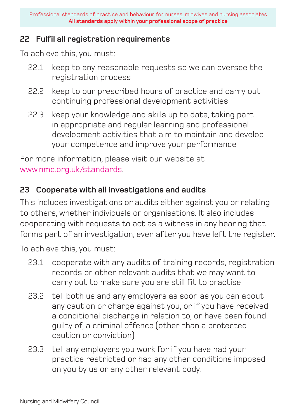#### **22 Fulfil all registration requirements**

To achieve this, you must:

- 22.1 keep to any reasonable requests so we can oversee the registration process
- 22.2 keep to our prescribed hours of practice and carry out continuing professional development activities
- 22.3 keep your knowledge and skills up to date, taking part in appropriate and regular learning and professional development activities that aim to maintain and develop your competence and improve your performance

For more information, please visit our website at www.nmc.org.uk/standards.

### **23 Cooperate with all investigations and audits**

This includes investigations or audits either against you or relating to others, whether individuals or organisations. It also includes cooperating with requests to act as a witness in any hearing that forms part of an investigation, even after you have left the register.

- 23.1 cooperate with any audits of training records, registration records or other relevant audits that we may want to carry out to make sure you are still fit to practise
- 23.2 tell both us and any employers as soon as you can about any caution or charge against you, or if you have received a conditional discharge in relation to, or have been found guilty of, a criminal offence (other than a protected caution or conviction)
- 23.3 tell any employers you work for if you have had your practice restricted or had any other conditions imposed on you by us or any other relevant body.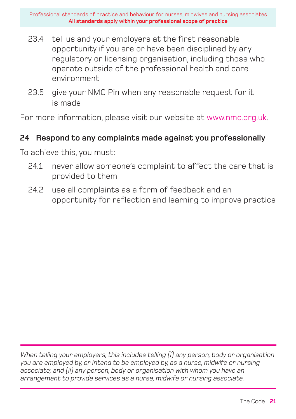- 23.4 tell us and your employers at the first reasonable opportunity if you are or have been disciplined by any regulatory or licensing organisation, including those who operate outside of the professional health and care environment
- 23.5 give your NMC Pin when any reasonable request for it is made

For more information, please visit our website at www.nmc.org.uk.

### **24 Respond to any complaints made against you professionally**

To achieve this, you must:

- 24.1 never allow someone's complaint to affect the care that is provided to them
- 24.2 use all complaints as a form of feedback and an opportunity for reflection and learning to improve practice

*When telling your employers, this includes telling (i) any person, body or organisation you are employed by, or intend to be employed by, as a nurse, midwife or nursing associate; and (ii) any person, body or organisation with whom you have an arrangement to provide services as a nurse, midwife or nursing associate.*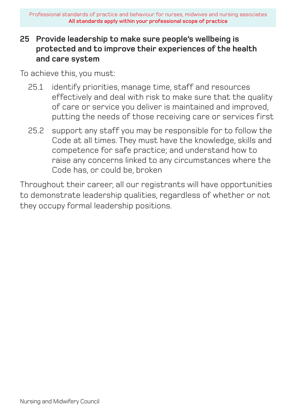### **25 Provide leadership to make sure people's wellbeing is protected and to improve their experiences of the health and care system**

To achieve this, you must:

- 25.1 identify priorities, manage time, staff and resources effectively and deal with risk to make sure that the quality of care or service you deliver is maintained and improved, putting the needs of those receiving care or services first
- 25.2 support any staff you may be responsible for to follow the Code at all times. They must have the knowledge, skills and competence for safe practice; and understand how to raise any concerns linked to any circumstances where the Code has, or could be, broken

Throughout their career, all our registrants will have opportunities to demonstrate leadership qualities, regardless of whether or not they occupy formal leadership positions.